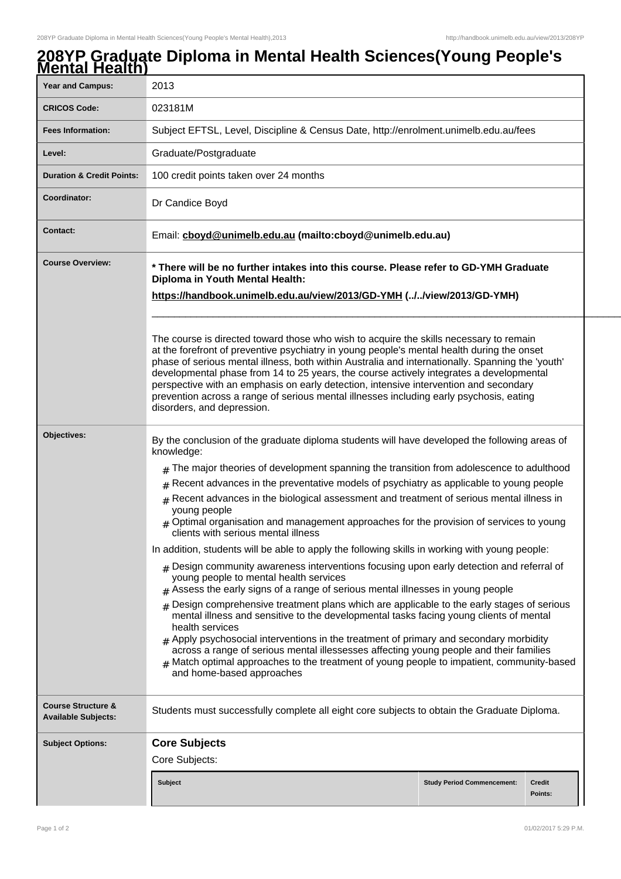## **208YP Graduate Diploma in Mental Health Sciences(Young People's Mental Health)**

| וזוסוונמו ווסמונוו                                          |                                                                                                                                                                                                                                                                                                                                                                                                                                                                                                                                                                                                       |                                   |                          |  |  |
|-------------------------------------------------------------|-------------------------------------------------------------------------------------------------------------------------------------------------------------------------------------------------------------------------------------------------------------------------------------------------------------------------------------------------------------------------------------------------------------------------------------------------------------------------------------------------------------------------------------------------------------------------------------------------------|-----------------------------------|--------------------------|--|--|
| <b>Year and Campus:</b>                                     | 2013                                                                                                                                                                                                                                                                                                                                                                                                                                                                                                                                                                                                  |                                   |                          |  |  |
| <b>CRICOS Code:</b>                                         | 023181M                                                                                                                                                                                                                                                                                                                                                                                                                                                                                                                                                                                               |                                   |                          |  |  |
| <b>Fees Information:</b>                                    | Subject EFTSL, Level, Discipline & Census Date, http://enrolment.unimelb.edu.au/fees                                                                                                                                                                                                                                                                                                                                                                                                                                                                                                                  |                                   |                          |  |  |
| Level:                                                      | Graduate/Postgraduate                                                                                                                                                                                                                                                                                                                                                                                                                                                                                                                                                                                 |                                   |                          |  |  |
| <b>Duration &amp; Credit Points:</b>                        | 100 credit points taken over 24 months                                                                                                                                                                                                                                                                                                                                                                                                                                                                                                                                                                |                                   |                          |  |  |
| Coordinator:                                                | Dr Candice Boyd                                                                                                                                                                                                                                                                                                                                                                                                                                                                                                                                                                                       |                                   |                          |  |  |
| <b>Contact:</b>                                             | Email: cboyd@unimelb.edu.au (mailto:cboyd@unimelb.edu.au)                                                                                                                                                                                                                                                                                                                                                                                                                                                                                                                                             |                                   |                          |  |  |
| <b>Course Overview:</b>                                     | * There will be no further intakes into this course. Please refer to GD-YMH Graduate<br>Diploma in Youth Mental Health:<br>https://handbook.unimelb.edu.au/view/2013/GD-YMH (//view/2013/GD-YMH)                                                                                                                                                                                                                                                                                                                                                                                                      |                                   |                          |  |  |
|                                                             | The course is directed toward those who wish to acquire the skills necessary to remain<br>at the forefront of preventive psychiatry in young people's mental health during the onset<br>phase of serious mental illness, both within Australia and internationally. Spanning the 'youth'<br>developmental phase from 14 to 25 years, the course actively integrates a developmental<br>perspective with an emphasis on early detection, intensive intervention and secondary<br>prevention across a range of serious mental illnesses including early psychosis, eating<br>disorders, and depression. |                                   |                          |  |  |
| Objectives:                                                 | By the conclusion of the graduate diploma students will have developed the following areas of<br>knowledge:<br>The major theories of development spanning the transition from adolescence to adulthood                                                                                                                                                                                                                                                                                                                                                                                                |                                   |                          |  |  |
|                                                             | #                                                                                                                                                                                                                                                                                                                                                                                                                                                                                                                                                                                                     |                                   |                          |  |  |
|                                                             | $#$ Recent advances in the preventative models of psychiatry as applicable to young people<br>$*$ Recent advances in the biological assessment and treatment of serious mental illness in                                                                                                                                                                                                                                                                                                                                                                                                             |                                   |                          |  |  |
|                                                             | young people<br>Optimal organisation and management approaches for the provision of services to young<br>clients with serious mental illness                                                                                                                                                                                                                                                                                                                                                                                                                                                          |                                   |                          |  |  |
|                                                             | In addition, students will be able to apply the following skills in working with young people:                                                                                                                                                                                                                                                                                                                                                                                                                                                                                                        |                                   |                          |  |  |
|                                                             | $#$ Design community awareness interventions focusing upon early detection and referral of<br>young people to mental health services<br>$#$ Assess the early signs of a range of serious mental illnesses in young people                                                                                                                                                                                                                                                                                                                                                                             |                                   |                          |  |  |
|                                                             | $_{\text{\#}}$ Design comprehensive treatment plans which are applicable to the early stages of serious<br>mental illness and sensitive to the developmental tasks facing young clients of mental<br>health services<br>$#$ Apply psychosocial interventions in the treatment of primary and secondary morbidity<br>across a range of serious mental illessesses affecting young people and their families<br>$#$ Match optimal approaches to the treatment of young people to impatient, community-based<br>and home-based approaches                                                                |                                   |                          |  |  |
| <b>Course Structure &amp;</b><br><b>Available Subjects:</b> | Students must successfully complete all eight core subjects to obtain the Graduate Diploma.                                                                                                                                                                                                                                                                                                                                                                                                                                                                                                           |                                   |                          |  |  |
| <b>Subject Options:</b>                                     | <b>Core Subjects</b>                                                                                                                                                                                                                                                                                                                                                                                                                                                                                                                                                                                  |                                   |                          |  |  |
|                                                             | Core Subjects:                                                                                                                                                                                                                                                                                                                                                                                                                                                                                                                                                                                        |                                   |                          |  |  |
|                                                             | <b>Subject</b>                                                                                                                                                                                                                                                                                                                                                                                                                                                                                                                                                                                        | <b>Study Period Commencement:</b> | <b>Credit</b><br>Points: |  |  |